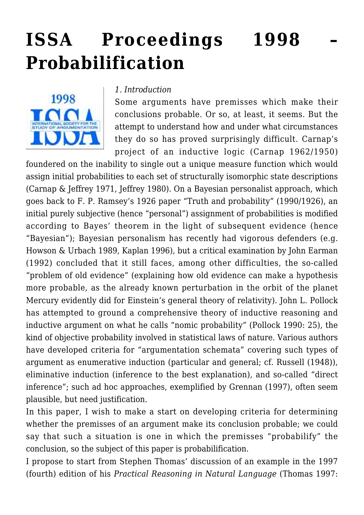# **[ISSA Proceedings 1998 –](https://rozenbergquarterly.com/issa-proceedings-1998-probabilification/) [Probabilification](https://rozenbergquarterly.com/issa-proceedings-1998-probabilification/)**



#### *1. Introduction*

Some arguments have premisses which make their conclusions probable. Or so, at least, it seems. But the attempt to understand how and under what circumstances they do so has proved surprisingly difficult. Carnap's project of an inductive logic (Carnap 1962/1950)

foundered on the inability to single out a unique measure function which would assign initial probabilities to each set of structurally isomorphic state descriptions (Carnap & Jeffrey 1971, Jeffrey 1980). On a Bayesian personalist approach, which goes back to F. P. Ramsey's 1926 paper "Truth and probability" (1990/1926), an initial purely subjective (hence "personal") assignment of probabilities is modified according to Bayes' theorem in the light of subsequent evidence (hence "Bayesian"); Bayesian personalism has recently had vigorous defenders (e.g. Howson & Urbach 1989, Kaplan 1996), but a critical examination by John Earman (1992) concluded that it still faces, among other difficulties, the so-called "problem of old evidence" (explaining how old evidence can make a hypothesis more probable, as the already known perturbation in the orbit of the planet Mercury evidently did for Einstein's general theory of relativity). John L. Pollock has attempted to ground a comprehensive theory of inductive reasoning and inductive argument on what he calls "nomic probability" (Pollock 1990: 25), the kind of objective probability involved in statistical laws of nature. Various authors have developed criteria for "argumentation schemata" covering such types of argument as enumerative induction (particular and general; cf. Russell (1948)), eliminative induction (inference to the best explanation), and so-called "direct inference"; such ad hoc approaches, exemplified by Grennan (1997), often seem plausible, but need justification.

In this paper, I wish to make a start on developing criteria for determining whether the premisses of an argument make its conclusion probable; we could say that such a situation is one in which the premisses "probabilify" the conclusion, so the subject of this paper is probabilification.

I propose to start from Stephen Thomas' discussion of an example in the 1997 (fourth) edition of his *Practical Reasoning in Natural Language* (Thomas 1997: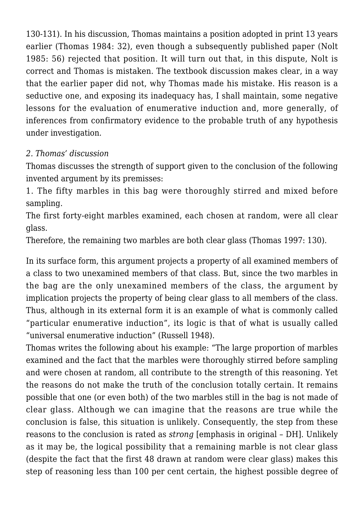130-131). In his discussion, Thomas maintains a position adopted in print 13 years earlier (Thomas 1984: 32), even though a subsequently published paper (Nolt 1985: 56) rejected that position. It will turn out that, in this dispute, Nolt is correct and Thomas is mistaken. The textbook discussion makes clear, in a way that the earlier paper did not, why Thomas made his mistake. His reason is a seductive one, and exposing its inadequacy has, I shall maintain, some negative lessons for the evaluation of enumerative induction and, more generally, of inferences from confirmatory evidence to the probable truth of any hypothesis under investigation.

### *2. Thomas' discussion*

Thomas discusses the strength of support given to the conclusion of the following invented argument by its premisses:

1. The fifty marbles in this bag were thoroughly stirred and mixed before sampling.

The first forty-eight marbles examined, each chosen at random, were all clear glass.

Therefore, the remaining two marbles are both clear glass (Thomas 1997: 130).

In its surface form, this argument projects a property of all examined members of a class to two unexamined members of that class. But, since the two marbles in the bag are the only unexamined members of the class, the argument by implication projects the property of being clear glass to all members of the class. Thus, although in its external form it is an example of what is commonly called "particular enumerative induction", its logic is that of what is usually called "universal enumerative induction" (Russell 1948).

Thomas writes the following about his example: "The large proportion of marbles examined and the fact that the marbles were thoroughly stirred before sampling and were chosen at random, all contribute to the strength of this reasoning. Yet the reasons do not make the truth of the conclusion totally certain. It remains possible that one (or even both) of the two marbles still in the bag is not made of clear glass. Although we can imagine that the reasons are true while the conclusion is false, this situation is unlikely. Consequently, the step from these reasons to the conclusion is rated as *strong* [emphasis in original – DH]. Unlikely as it may be, the logical possibility that a remaining marble is not clear glass (despite the fact that the first 48 drawn at random were clear glass) makes this step of reasoning less than 100 per cent certain, the highest possible degree of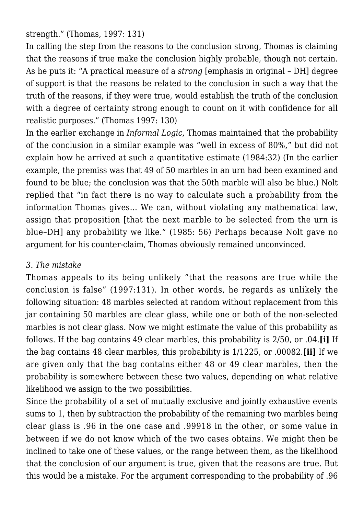strength." (Thomas, 1997: 131)

In calling the step from the reasons to the conclusion strong, Thomas is claiming that the reasons if true make the conclusion highly probable, though not certain. As he puts it: "A practical measure of a *strong* [emphasis in original – DH] degree of support is that the reasons be related to the conclusion in such a way that the truth of the reasons, if they were true, would establish the truth of the conclusion with a degree of certainty strong enough to count on it with confidence for all realistic purposes." (Thomas 1997: 130)

In the earlier exchange in *Informal Logic*, Thomas maintained that the probability of the conclusion in a similar example was "well in excess of 80%," but did not explain how he arrived at such a quantitative estimate (1984:32) (In the earlier example, the premiss was that 49 of 50 marbles in an urn had been examined and found to be blue; the conclusion was that the 50th marble will also be blue.) Nolt replied that "in fact there is no way to calculate such a probability from the information Thomas gives… We can, without violating any mathematical law, assign that proposition [that the next marble to be selected from the urn is blue–DH] any probability we like." (1985: 56) Perhaps because Nolt gave no argument for his counter-claim, Thomas obviously remained unconvinced.

### *3. The mistake*

Thomas appeals to its being unlikely "that the reasons are true while the conclusion is false" (1997:131). In other words, he regards as unlikely the following situation: 48 marbles selected at random without replacement from this jar containing 50 marbles are clear glass, while one or both of the non-selected marbles is not clear glass. Now we might estimate the value of this probability as follows. If the bag contains 49 clear marbles, this probability is 2/50, or .04.**[i]** If the bag contains 48 clear marbles, this probability is 1/1225, or .00082.**[ii]** If we are given only that the bag contains either 48 or 49 clear marbles, then the probability is somewhere between these two values, depending on what relative likelihood we assign to the two possibilities.

Since the probability of a set of mutually exclusive and jointly exhaustive events sums to 1, then by subtraction the probability of the remaining two marbles being clear glass is .96 in the one case and .99918 in the other, or some value in between if we do not know which of the two cases obtains. We might then be inclined to take one of these values, or the range between them, as the likelihood that the conclusion of our argument is true, given that the reasons are true. But this would be a mistake. For the argument corresponding to the probability of .96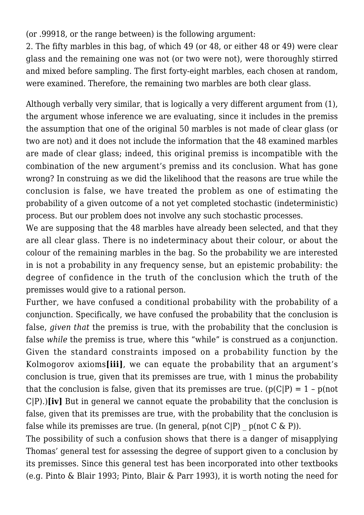(or .99918, or the range between) is the following argument:

2. The fifty marbles in this bag, of which 49 (or 48, or either 48 or 49) were clear glass and the remaining one was not (or two were not), were thoroughly stirred and mixed before sampling. The first forty-eight marbles, each chosen at random, were examined. Therefore, the remaining two marbles are both clear glass.

Although verbally very similar, that is logically a very different argument from (1), the argument whose inference we are evaluating, since it includes in the premiss the assumption that one of the original 50 marbles is not made of clear glass (or two are not) and it does not include the information that the 48 examined marbles are made of clear glass; indeed, this original premiss is incompatible with the combination of the new argument's premiss and its conclusion. What has gone wrong? In construing as we did the likelihood that the reasons are true while the conclusion is false, we have treated the problem as one of estimating the probability of a given outcome of a not yet completed stochastic (indeterministic) process. But our problem does not involve any such stochastic processes.

We are supposing that the 48 marbles have already been selected, and that they are all clear glass. There is no indeterminacy about their colour, or about the colour of the remaining marbles in the bag. So the probability we are interested in is not a probability in any frequency sense, but an epistemic probability: the degree of confidence in the truth of the conclusion which the truth of the premisses would give to a rational person.

Further, we have confused a conditional probability with the probability of a conjunction. Specifically, we have confused the probability that the conclusion is false, *given that* the premiss is true, with the probability that the conclusion is false *while* the premiss is true, where this "while" is construed as a conjunction. Given the standard constraints imposed on a probability function by the Kolmogorov axioms**[iii]**, we can equate the probability that an argument's conclusion is true, given that its premisses are true, with 1 minus the probability that the conclusion is false, given that its premisses are true.  $(p(C|P) = 1 - p(not)$ C|P).)**[iv]** But in general we cannot equate the probability that the conclusion is false, given that its premisses are true, with the probability that the conclusion is false while its premisses are true. (In general,  $p(\text{not } C|P)$  –  $p(\text{not } C \& P)$ ).

The possibility of such a confusion shows that there is a danger of misapplying Thomas' general test for assessing the degree of support given to a conclusion by its premisses. Since this general test has been incorporated into other textbooks (e.g. Pinto & Blair 1993; Pinto, Blair & Parr 1993), it is worth noting the need for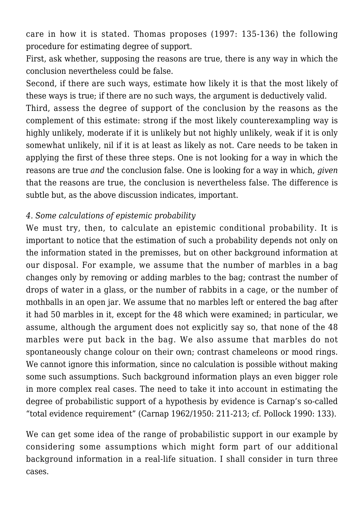care in how it is stated. Thomas proposes (1997: 135-136) the following procedure for estimating degree of support.

First, ask whether, supposing the reasons are true, there is any way in which the conclusion nevertheless could be false.

Second, if there are such ways, estimate how likely it is that the most likely of these ways is true; if there are no such ways, the argument is deductively valid.

Third, assess the degree of support of the conclusion by the reasons as the complement of this estimate: strong if the most likely counterexampling way is highly unlikely, moderate if it is unlikely but not highly unlikely, weak if it is only somewhat unlikely, nil if it is at least as likely as not. Care needs to be taken in applying the first of these three steps. One is not looking for a way in which the reasons are true *and* the conclusion false. One is looking for a way in which, *given* that the reasons are true, the conclusion is nevertheless false. The difference is subtle but, as the above discussion indicates, important.

#### *4. Some calculations of epistemic probability*

We must try, then, to calculate an epistemic conditional probability. It is important to notice that the estimation of such a probability depends not only on the information stated in the premisses, but on other background information at our disposal. For example, we assume that the number of marbles in a bag changes only by removing or adding marbles to the bag; contrast the number of drops of water in a glass, or the number of rabbits in a cage, or the number of mothballs in an open jar. We assume that no marbles left or entered the bag after it had 50 marbles in it, except for the 48 which were examined; in particular, we assume, although the argument does not explicitly say so, that none of the 48 marbles were put back in the bag. We also assume that marbles do not spontaneously change colour on their own; contrast chameleons or mood rings. We cannot ignore this information, since no calculation is possible without making some such assumptions. Such background information plays an even bigger role in more complex real cases. The need to take it into account in estimating the degree of probabilistic support of a hypothesis by evidence is Carnap's so-called "total evidence requirement" (Carnap 1962/1950: 211-213; cf. Pollock 1990: 133).

We can get some idea of the range of probabilistic support in our example by considering some assumptions which might form part of our additional background information in a real-life situation. I shall consider in turn three cases.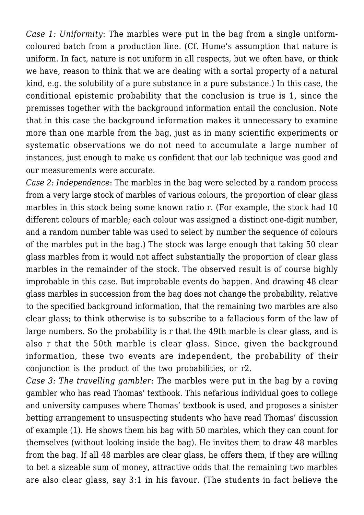*Case 1: Uniformity*: The marbles were put in the bag from a single uniformcoloured batch from a production line. (Cf. Hume's assumption that nature is uniform. In fact, nature is not uniform in all respects, but we often have, or think we have, reason to think that we are dealing with a sortal property of a natural kind, e.g. the solubility of a pure substance in a pure substance.) In this case, the conditional epistemic probability that the conclusion is true is 1, since the premisses together with the background information entail the conclusion. Note that in this case the background information makes it unnecessary to examine more than one marble from the bag, just as in many scientific experiments or systematic observations we do not need to accumulate a large number of instances, just enough to make us confident that our lab technique was good and our measurements were accurate.

*Case 2: Independence*: The marbles in the bag were selected by a random process from a very large stock of marbles of various colours, the proportion of clear glass marbles in this stock being some known ratio r. (For example, the stock had 10 different colours of marble; each colour was assigned a distinct one-digit number, and a random number table was used to select by number the sequence of colours of the marbles put in the bag.) The stock was large enough that taking 50 clear glass marbles from it would not affect substantially the proportion of clear glass marbles in the remainder of the stock. The observed result is of course highly improbable in this case. But improbable events do happen. And drawing 48 clear glass marbles in succession from the bag does not change the probability, relative to the specified background information, that the remaining two marbles are also clear glass; to think otherwise is to subscribe to a fallacious form of the law of large numbers. So the probability is r that the 49th marble is clear glass, and is also r that the 50th marble is clear glass. Since, given the background information, these two events are independent, the probability of their conjunction is the product of the two probabilities, or r2.

*Case 3: The travelling gambler*: The marbles were put in the bag by a roving gambler who has read Thomas' textbook. This nefarious individual goes to college and university campuses where Thomas' textbook is used, and proposes a sinister betting arrangement to unsuspecting students who have read Thomas' discussion of example (1). He shows them his bag with 50 marbles, which they can count for themselves (without looking inside the bag). He invites them to draw 48 marbles from the bag. If all 48 marbles are clear glass, he offers them, if they are willing to bet a sizeable sum of money, attractive odds that the remaining two marbles are also clear glass, say 3:1 in his favour. (The students in fact believe the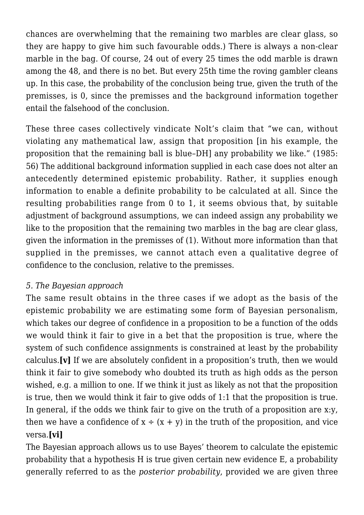chances are overwhelming that the remaining two marbles are clear glass, so they are happy to give him such favourable odds.) There is always a non-clear marble in the bag. Of course, 24 out of every 25 times the odd marble is drawn among the 48, and there is no bet. But every 25th time the roving gambler cleans up. In this case, the probability of the conclusion being true, given the truth of the premisses, is 0, since the premisses and the background information together entail the falsehood of the conclusion.

These three cases collectively vindicate Nolt's claim that "we can, without violating any mathematical law, assign that proposition [in his example, the proposition that the remaining ball is blue–DH] any probability we like." (1985: 56) The additional background information supplied in each case does not alter an antecedently determined epistemic probability. Rather, it supplies enough information to enable a definite probability to be calculated at all. Since the resulting probabilities range from 0 to 1, it seems obvious that, by suitable adjustment of background assumptions, we can indeed assign any probability we like to the proposition that the remaining two marbles in the bag are clear glass, given the information in the premisses of (1). Without more information than that supplied in the premisses, we cannot attach even a qualitative degree of confidence to the conclusion, relative to the premisses.

### *5. The Bayesian approach*

The same result obtains in the three cases if we adopt as the basis of the epistemic probability we are estimating some form of Bayesian personalism, which takes our degree of confidence in a proposition to be a function of the odds we would think it fair to give in a bet that the proposition is true, where the system of such confidence assignments is constrained at least by the probability calculus.**[v]** If we are absolutely confident in a proposition's truth, then we would think it fair to give somebody who doubted its truth as high odds as the person wished, e.g. a million to one. If we think it just as likely as not that the proposition is true, then we would think it fair to give odds of 1:1 that the proposition is true. In general, if the odds we think fair to give on the truth of a proposition are x:y, then we have a confidence of  $x \div (x + y)$  in the truth of the proposition, and vice versa.**[vi]**

The Bayesian approach allows us to use Bayes' theorem to calculate the epistemic probability that a hypothesis H is true given certain new evidence E, a probability generally referred to as the *posterior probability*, provided we are given three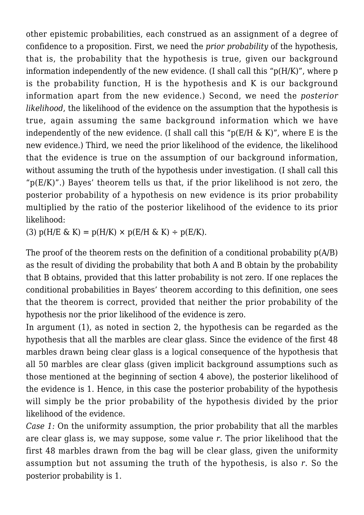other epistemic probabilities, each construed as an assignment of a degree of confidence to a proposition. First, we need the *prior probability* of the hypothesis, that is, the probability that the hypothesis is true, given our background information independently of the new evidence. (I shall call this "p(H/K)", where p is the probability function, H is the hypothesis and K is our background information apart from the new evidence.) Second, we need the *posterior likelihood*, the likelihood of the evidence on the assumption that the hypothesis is true, again assuming the same background information which we have independently of the new evidence. (I shall call this " $p(E/H \& K)$ ", where E is the new evidence.) Third, we need the prior likelihood of the evidence, the likelihood that the evidence is true on the assumption of our background information, without assuming the truth of the hypothesis under investigation. (I shall call this " $p(E/K)$ ".) Bayes' theorem tells us that, if the prior likelihood is not zero, the posterior probability of a hypothesis on new evidence is its prior probability multiplied by the ratio of the posterior likelihood of the evidence to its prior likelihood:

(3)  $p(H/E \& K) = p(H/K) \times p(E/H \& K) \div p(E/K)$ .

The proof of the theorem rests on the definition of a conditional probability p(A/B) as the result of dividing the probability that both A and B obtain by the probability that B obtains, provided that this latter probability is not zero. If one replaces the conditional probabilities in Bayes' theorem according to this definition, one sees that the theorem is correct, provided that neither the prior probability of the hypothesis nor the prior likelihood of the evidence is zero.

In argument (1), as noted in section 2, the hypothesis can be regarded as the hypothesis that all the marbles are clear glass. Since the evidence of the first 48 marbles drawn being clear glass is a logical consequence of the hypothesis that all 50 marbles are clear glass (given implicit background assumptions such as those mentioned at the beginning of section 4 above), the posterior likelihood of the evidence is 1. Hence, in this case the posterior probability of the hypothesis will simply be the prior probability of the hypothesis divided by the prior likelihood of the evidence.

*Case 1:* On the uniformity assumption, the prior probability that all the marbles are clear glass is, we may suppose, some value *r*. The prior likelihood that the first 48 marbles drawn from the bag will be clear glass, given the uniformity assumption but not assuming the truth of the hypothesis, is also *r*. So the posterior probability is 1.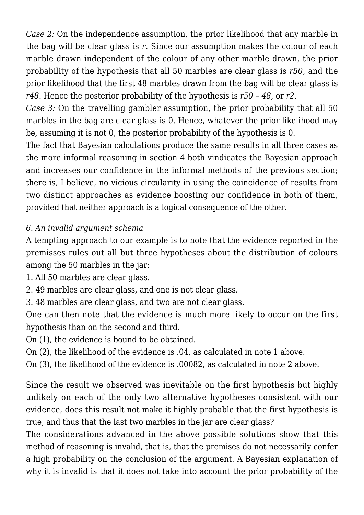*Case 2:* On the independence assumption, the prior likelihood that any marble in the bag will be clear glass is *r*. Since our assumption makes the colour of each marble drawn independent of the colour of any other marble drawn, the prior probability of the hypothesis that all 50 marbles are clear glass is *r50*, and the prior likelihood that the first 48 marbles drawn from the bag will be clear glass is *r48*. Hence the posterior probability of the hypothesis is *r50* – *48*, or *r2*.

*Case 3:* On the travelling gambler assumption, the prior probability that all 50 marbles in the bag are clear glass is 0. Hence, whatever the prior likelihood may be, assuming it is not 0, the posterior probability of the hypothesis is 0.

The fact that Bayesian calculations produce the same results in all three cases as the more informal reasoning in section 4 both vindicates the Bayesian approach and increases our confidence in the informal methods of the previous section; there is, I believe, no vicious circularity in using the coincidence of results from two distinct approaches as evidence boosting our confidence in both of them, provided that neither approach is a logical consequence of the other.

# *6. An invalid argument schema*

A tempting approach to our example is to note that the evidence reported in the premisses rules out all but three hypotheses about the distribution of colours among the 50 marbles in the jar:

1. All 50 marbles are clear glass.

2. 49 marbles are clear glass, and one is not clear glass.

3. 48 marbles are clear glass, and two are not clear glass.

One can then note that the evidence is much more likely to occur on the first hypothesis than on the second and third.

On (1), the evidence is bound to be obtained.

On (2), the likelihood of the evidence is .04, as calculated in note 1 above.

On (3), the likelihood of the evidence is .00082, as calculated in note 2 above.

Since the result we observed was inevitable on the first hypothesis but highly unlikely on each of the only two alternative hypotheses consistent with our evidence, does this result not make it highly probable that the first hypothesis is true, and thus that the last two marbles in the jar are clear glass?

The considerations advanced in the above possible solutions show that this method of reasoning is invalid, that is, that the premises do not necessarily confer a high probability on the conclusion of the argument. A Bayesian explanation of why it is invalid is that it does not take into account the prior probability of the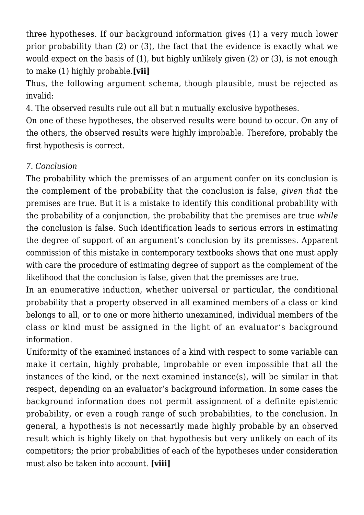three hypotheses. If our background information gives (1) a very much lower prior probability than (2) or (3), the fact that the evidence is exactly what we would expect on the basis of (1), but highly unlikely given (2) or (3), is not enough to make (1) highly probable.**[vii]**

Thus, the following argument schema, though plausible, must be rejected as invalid:

4. The observed results rule out all but n mutually exclusive hypotheses.

On one of these hypotheses, the observed results were bound to occur. On any of the others, the observed results were highly improbable. Therefore, probably the first hypothesis is correct.

### *7. Conclusion*

The probability which the premisses of an argument confer on its conclusion is the complement of the probability that the conclusion is false, *given that* the premises are true. But it is a mistake to identify this conditional probability with the probability of a conjunction, the probability that the premises are true *while* the conclusion is false. Such identification leads to serious errors in estimating the degree of support of an argument's conclusion by its premisses. Apparent commission of this mistake in contemporary textbooks shows that one must apply with care the procedure of estimating degree of support as the complement of the likelihood that the conclusion is false, given that the premisses are true.

In an enumerative induction, whether universal or particular, the conditional probability that a property observed in all examined members of a class or kind belongs to all, or to one or more hitherto unexamined, individual members of the class or kind must be assigned in the light of an evaluator's background information.

Uniformity of the examined instances of a kind with respect to some variable can make it certain, highly probable, improbable or even impossible that all the instances of the kind, or the next examined instance(s), will be similar in that respect, depending on an evaluator's background information. In some cases the background information does not permit assignment of a definite epistemic probability, or even a rough range of such probabilities, to the conclusion. In general, a hypothesis is not necessarily made highly probable by an observed result which is highly likely on that hypothesis but very unlikely on each of its competitors; the prior probabilities of each of the hypotheses under consideration must also be taken into account. **[viii]**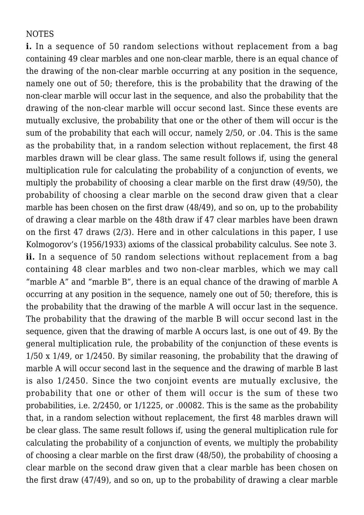#### **NOTES**

**i.** In a sequence of 50 random selections without replacement from a bag containing 49 clear marbles and one non-clear marble, there is an equal chance of the drawing of the non-clear marble occurring at any position in the sequence, namely one out of 50; therefore, this is the probability that the drawing of the non-clear marble will occur last in the sequence, and also the probability that the drawing of the non-clear marble will occur second last. Since these events are mutually exclusive, the probability that one or the other of them will occur is the sum of the probability that each will occur, namely 2/50, or .04. This is the same as the probability that, in a random selection without replacement, the first 48 marbles drawn will be clear glass. The same result follows if, using the general multiplication rule for calculating the probability of a conjunction of events, we multiply the probability of choosing a clear marble on the first draw (49/50), the probability of choosing a clear marble on the second draw given that a clear marble has been chosen on the first draw (48/49), and so on, up to the probability of drawing a clear marble on the 48th draw if 47 clear marbles have been drawn on the first 47 draws (2/3). Here and in other calculations in this paper, I use Kolmogorov's (1956/1933) axioms of the classical probability calculus. See note 3. ii. In a sequence of 50 random selections without replacement from a bag containing 48 clear marbles and two non-clear marbles, which we may call "marble A" and "marble B", there is an equal chance of the drawing of marble A occurring at any position in the sequence, namely one out of 50; therefore, this is the probability that the drawing of the marble A will occur last in the sequence. The probability that the drawing of the marble B will occur second last in the sequence, given that the drawing of marble A occurs last, is one out of 49. By the general multiplication rule, the probability of the conjunction of these events is 1/50 x 1/49, or 1/2450. By similar reasoning, the probability that the drawing of marble A will occur second last in the sequence and the drawing of marble B last is also 1/2450. Since the two conjoint events are mutually exclusive, the probability that one or other of them will occur is the sum of these two probabilities, i.e. 2/2450, or 1/1225, or .00082. This is the same as the probability that, in a random selection without replacement, the first 48 marbles drawn will be clear glass. The same result follows if, using the general multiplication rule for calculating the probability of a conjunction of events, we multiply the probability of choosing a clear marble on the first draw (48/50), the probability of choosing a clear marble on the second draw given that a clear marble has been chosen on the first draw (47/49), and so on, up to the probability of drawing a clear marble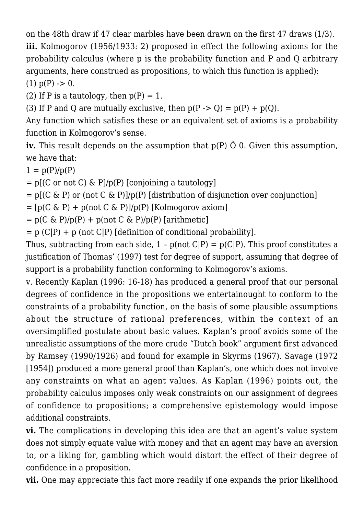on the 48th draw if 47 clear marbles have been drawn on the first 47 draws (1/3). **iii.** Kolmogorov (1956/1933: 2) proposed in effect the following axioms for the probability calculus (where p is the probability function and P and Q arbitrary arguments, here construed as propositions, to which this function is applied):  $(1)$  p(P) -> 0.

(2) If P is a tautology, then  $p(P) = 1$ .

(3) If P and Q are mutually exclusive, then  $p(P \rightarrow Q) = p(P) + p(Q)$ .

Any function which satisfies these or an equivalent set of axioms is a probability function in Kolmogorov's sense.

**iv.** This result depends on the assumption that p(P) Õ 0. Given this assumption, we have that:

 $1 = p(P)/p(P)$ 

 $=$  p[(C or not C) & P]/p(P) [conjoining a tautology]

 $=$  p[(C & P) or (not C & P)]/p(P) [distribution of disjunction over conjunction]

 $= [p(C \& P) + p(not C \& P)]/p(P)$  [Kolmogorov axiom]

 $= p(C \& P)/p(P) + p(not C \& P)/p(P)$  [arithmetic]

 $= p (C|P) + p (not C|P)$  [definition of conditional probability].

Thus, subtracting from each side,  $1 - p(\text{not } C|P) = p(C|P)$ . This proof constitutes a justification of Thomas' (1997) test for degree of support, assuming that degree of support is a probability function conforming to Kolmogorov's axioms.

v. Recently Kaplan (1996: 16-18) has produced a general proof that our personal degrees of confidence in the propositions we entertainought to conform to the constraints of a probability function, on the basis of some plausible assumptions about the structure of rational preferences, within the context of an oversimplified postulate about basic values. Kaplan's proof avoids some of the unrealistic assumptions of the more crude "Dutch book" argument first advanced by Ramsey (1990/1926) and found for example in Skyrms (1967). Savage (1972 [1954]) produced a more general proof than Kaplan's, one which does not involve any constraints on what an agent values. As Kaplan (1996) points out, the probability calculus imposes only weak constraints on our assignment of degrees of confidence to propositions; a comprehensive epistemology would impose additional constraints.

**vi.** The complications in developing this idea are that an agent's value system does not simply equate value with money and that an agent may have an aversion to, or a liking for, gambling which would distort the effect of their degree of confidence in a proposition.

**vii.** One may appreciate this fact more readily if one expands the prior likelihood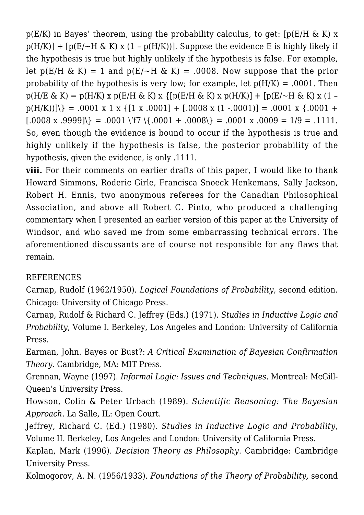$p(E/K)$  in Bayes' theorem, using the probability calculus, to get: [ $p(E/H \& K) x$ ]  $p(H/K)$  + [ $p(E/\sim H \& K)$  x (1 –  $p(H/K)$ )]. Suppose the evidence E is highly likely if the hypothesis is true but highly unlikely if the hypothesis is false. For example, let  $p(E/H \& K) = 1$  and  $p(E/\sim H \& K) = .0008$ . Now suppose that the prior probability of the hypothesis is very low; for example, let  $p(H/K) = .0001$ . Then  $p(H/E \& K) = p(H/K) x p(E/H \& K) x {p(E/H \& K) x p(H/K)} + p(E/\sim H \& K) x (1$  $p(H/K))$  = .0001 x 1 x {[1 x .0001] + [.0008 x (1 -.0001)] = .0001 x {.0001 +  $[0.0008 \times 0.9999]$  = .0001 \'f7 \{.0001 + .0008\} = .0001 x .0009 = 1/9 = .1111. So, even though the evidence is bound to occur if the hypothesis is true and highly unlikely if the hypothesis is false, the posterior probability of the hypothesis, given the evidence, is only .1111.

**viii.** For their comments on earlier drafts of this paper, I would like to thank Howard Simmons, Roderic Girle, Francisca Snoeck Henkemans, Sally Jackson, Robert H. Ennis, two anonymous referees for the Canadian Philosophical Association, and above all Robert C. Pinto, who produced a challenging commentary when I presented an earlier version of this paper at the University of Windsor, and who saved me from some embarrassing technical errors. The aforementioned discussants are of course not responsible for any flaws that remain.

# REFERENCES

Carnap, Rudolf (1962/1950). *Logical Foundations of Probability*, second edition. Chicago: University of Chicago Press.

Carnap, Rudolf & Richard C. Jeffrey (Eds.) (1971)*. Studies in Inductive Logic and Probability*, Volume I. Berkeley, Los Angeles and London: University of California Press.

Earman, John. Bayes or Bust?: *A Critical Examination of Bayesian Confirmation Theory*. Cambridge, MA: MIT Press.

Grennan, Wayne (1997). *Informal Logic: Issues and Techniques*. Montreal: McGill-Queen's University Press.

Howson, Colin & Peter Urbach (1989). *Scientific Reasoning: The Bayesian Approach*. La Salle, IL: Open Court.

Jeffrey, Richard C. (Ed.) (1980). *Studies in Inductive Logic and Probability*, Volume II. Berkeley, Los Angeles and London: University of California Press.

Kaplan, Mark (1996)*. Decision Theory as Philosophy*. Cambridge: Cambridge University Press.

Kolmogorov, A. N. (1956/1933). *Foundations of the Theory of Probability,* second